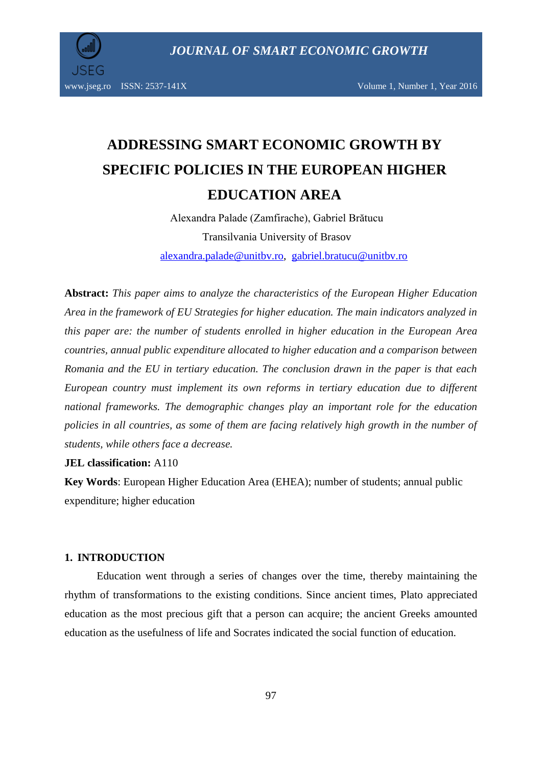

www.jseg.ro ISSN: 2537-141X Volume 1, Number 1, Year 2016

# **ADDRESSING SMART ECONOMIC GROWTH BY SPECIFIC POLICIES IN THE EUROPEAN HIGHER EDUCATION AREA**

Alexandra Palade (Zamfirache), Gabriel Brătucu Transilvania University of Brasov alexandra.palade@unitbv.ro, gabriel.bratucu@unitbv.ro

**Abstract:** *This paper aims to analyze the characteristics of the European Higher Education Area in the framework of EU Strategies for higher education. The main indicators analyzed in this paper are: the number of students enrolled in higher education in the European Area countries, annual public expenditure allocated to higher education and a comparison between Romania and the EU in tertiary education. The conclusion drawn in the paper is that each European country must implement its own reforms in tertiary education due to different national frameworks. The demographic changes play an important role for the education policies in all countries, as some of them are facing relatively high growth in the number of students, while others face a decrease.*

**JEL classification:** A110

**Key Words**: European Higher Education Area (EHEA); number of students; annual public expenditure; higher education

## **1. INTRODUCTION**

Education went through a series of changes over the time, thereby maintaining the rhythm of transformations to the existing conditions. Since ancient times, Plato appreciated education as the most precious gift that a person can acquire; the ancient Greeks amounted education as the usefulness of life and Socrates indicated the social function of education.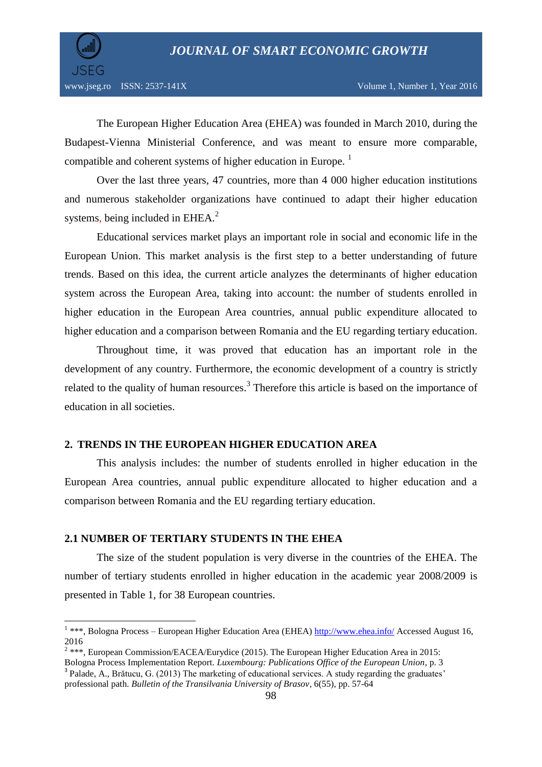

The European Higher Education Area (EHEA) was founded in March 2010, during the Budapest-Vienna Ministerial Conference, and was meant to ensure more comparable, compatible and coherent systems of higher education in Europe.<sup>1</sup>

Over the last three years, 47 countries, more than 4 000 higher education institutions and numerous stakeholder organizations have continued to adapt their higher education systems, being included in  $EHEA<sup>2</sup>$ .

Educational services market plays an important role in social and economic life in the European Union. This market analysis is the first step to a better understanding of future trends. Based on this idea, the current article analyzes the determinants of higher education system across the European Area, taking into account: the number of students enrolled in higher education in the European Area countries, annual public expenditure allocated to higher education and a comparison between Romania and the EU regarding tertiary education.

Throughout time, it was proved that education has an important role in the development of any country. Furthermore, the economic development of a country is strictly related to the quality of human resources.<sup>3</sup> Therefore this article is based on the importance of education in all societies.

# **2. TRENDS IN THE EUROPEAN HIGHER EDUCATION AREA**

This analysis includes: the number of students enrolled in higher education in the European Area countries, annual public expenditure allocated to higher education and a comparison between Romania and the EU regarding tertiary education.

### **2.1 NUMBER OF TERTIARY STUDENTS IN THE EHEA**

The size of the student population is very diverse in the countries of the EHEA. The number of tertiary students enrolled in higher education in the academic year 2008/2009 is presented in Table 1, for 38 European countries.

<sup>&</sup>lt;sup>1</sup> \*\*\*, Bologna Process – European Higher Education Area (EHEA)<http://www.ehea.info/> Accessed August 16, 2016

 $2$  \*\*\*, European Commission/EACEA/Eurydice (2015). The European Higher Education Area in 2015:

Bologna Process Implementation Report. *Luxembourg: Publications Office of the European Union*, p. 3 <sup>3</sup> Palade, A., Brătucu, G. (2013) The marketing of educational services. A study regarding the graduates'

professional path. *Bulletin of the Transilvania University of Brasov*, 6(55), pp. 57-64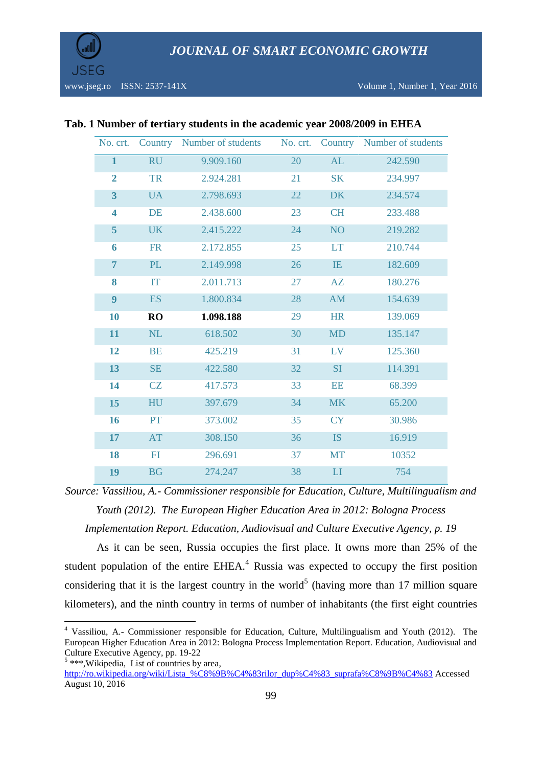

| No. crt.                |           | Country Number of students | No. crt. |                 | Country Number of students |
|-------------------------|-----------|----------------------------|----------|-----------------|----------------------------|
| $\mathbf{1}$            | <b>RU</b> | 9.909.160                  | 20       | AL              | 242.590                    |
| $\overline{2}$          | <b>TR</b> | 2.924.281                  | 21       | <b>SK</b>       | 234.997                    |
| $\overline{\mathbf{3}}$ | <b>UA</b> | 2.798.693                  | 22       | <b>DK</b>       | 234.574                    |
| $\overline{\mathbf{4}}$ | <b>DE</b> | 2.438.600                  | 23       | <b>CH</b>       | 233.488                    |
| 5                       | <b>UK</b> | 2.415.222                  | 24       | NO <sub>1</sub> | 219.282                    |
| 6                       | <b>FR</b> | 2.172.855                  | 25       | <b>LT</b>       | 210.744                    |
| $\overline{7}$          | PL        | 2.149.998                  | 26       | IE              | 182.609                    |
| 8                       | IT        | 2.011.713                  | 27       | AZ              | 180.276                    |
| 9                       | <b>ES</b> | 1.800.834                  | 28       | <b>AM</b>       | 154.639                    |
| 10                      | <b>RO</b> | 1.098.188                  | 29       | <b>HR</b>       | 139.069                    |
| 11                      | NL        | 618.502                    | 30       | <b>MD</b>       | 135.147                    |
| 12                      | <b>BE</b> | 425.219                    | 31       | LV              | 125.360                    |
| 13                      | SE        | 422.580                    | 32       | <b>SI</b>       | 114.391                    |
| 14                      | CZ        | 417.573                    | 33       | <b>EE</b>       | 68.399                     |
| 15                      | HU        | 397.679                    | 34       | <b>MK</b>       | 65.200                     |
| 16                      | PT        | 373.002                    | 35       | <b>CY</b>       | 30.986                     |
| 17                      | AT        | 308.150                    | 36       | <b>IS</b>       | 16.919                     |
| 18                      | FI        | 296.691                    | 37       | <b>MT</b>       | 10352                      |
| 19                      | <b>BG</b> | 274.247                    | 38       | LI              | 754                        |

### **Tab. 1 Number of tertiary students in the academic year 2008/2009 in EHEA**

*Source: Vassiliou, A.- Commissioner responsible for Education, Culture, Multilingualism and Youth (2012). The European Higher Education Area in 2012: Bologna Process* 

*Implementation Report. Education, Audiovisual and Culture Executive Agency, p. 19*

As it can be seen, Russia occupies the first place. It owns more than 25% of the student population of the entire  $EHEA<sup>4</sup>$  Russia was expected to occupy the first position considering that it is the largest country in the world<sup>5</sup> (having more than 17 million square kilometers), and the ninth country in terms of number of inhabitants (the first eight countries

 $\overline{\phantom{a}}$ 

<sup>4</sup> Vassiliou, A.- Commissioner responsible for Education, Culture, Multilingualism and Youth (2012). The European Higher Education Area in 2012: Bologna Process Implementation Report. Education, Audiovisual and Culture Executive Agency, pp. 19-22

<sup>&</sup>lt;sup>5</sup> \*\*\*, Wikipedia, List of countries by area,

[http://ro.wikipedia.org/wiki/Lista\\_%C8%9B%C4%83rilor\\_dup%C4%83\\_suprafa%C8%9B%C4%83](http://ro.wikipedia.org/wiki/Lista_%C8%9B%C4%83rilor_dup%C4%83_suprafa%C8%9B%C4%83) Accessed August 10, 2016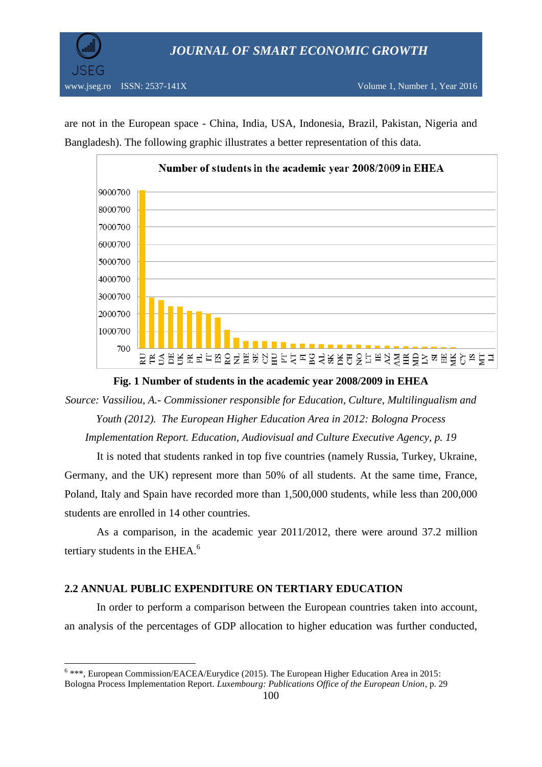

are not in the European space - China, India, USA, Indonesia, Brazil, Pakistan, Nigeria and Bangladesh). The following graphic illustrates a better representation of this data.



**Fig. 1 Number of students in the academic year 2008/2009 in EHEA**

*Source: Vassiliou, A.- Commissioner responsible for Education, Culture, Multilingualism and Youth (2012). The European Higher Education Area in 2012: Bologna Process Implementation Report. Education, Audiovisual and Culture Executive Agency, p. 19*

It is noted that students ranked in top five countries (namely Russia, Turkey, Ukraine, Germany, and the UK) represent more than 50% of all students. At the same time, France, Poland, Italy and Spain have recorded more than 1,500,000 students, while less than 200,000 students are enrolled in 14 other countries.

As a comparison, in the academic year 2011/2012, there were around 37.2 million tertiary students in the EHEA.<sup>6</sup>

# **2.2 ANNUAL PUBLIC EXPENDITURE ON TERTIARY EDUCATION**

 $\overline{\phantom{a}}$ 

In order to perform a comparison between the European countries taken into account, an analysis of the percentages of GDP allocation to higher education was further conducted,

 $6$  \*\*\*, European Commission/EACEA/Eurydice (2015). The European Higher Education Area in 2015: Bologna Process Implementation Report. *Luxembourg: Publications Office of the European Union*, p. 29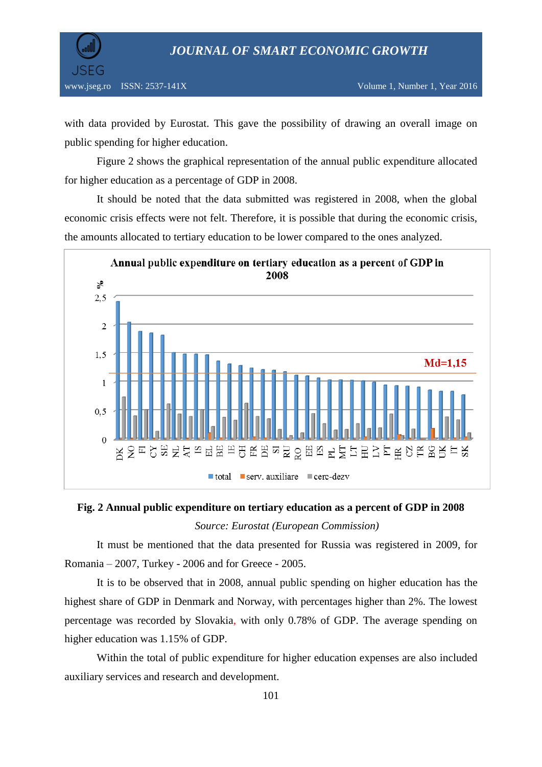

with data provided by Eurostat. This gave the possibility of drawing an overall image on public spending for higher education.

Figure 2 shows the graphical representation of the annual public expenditure allocated for higher education as a percentage of GDP in 2008.

It should be noted that the data submitted was registered in 2008, when the global economic crisis effects were not felt. Therefore, it is possible that during the economic crisis, the amounts allocated to tertiary education to be lower compared to the ones analyzed.



# **Fig. 2 Annual public expenditure on tertiary education as a percent of GDP in 2008**  *Source: Eurostat (European Commission)*

It must be mentioned that the data presented for Russia was registered in 2009, for Romania – 2007, Turkey - 2006 and for Greece - 2005.

It is to be observed that in 2008, annual public spending on higher education has the highest share of GDP in Denmark and Norway, with percentages higher than 2%. The lowest percentage was recorded by Slovakia, with only 0.78% of GDP. The average spending on higher education was 1.15% of GDP.

Within the total of public expenditure for higher education expenses are also included auxiliary services and research and development.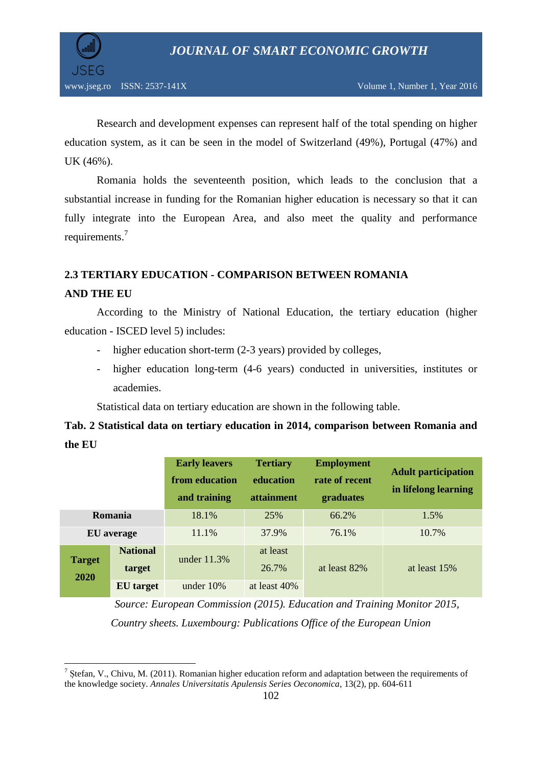

Research and development expenses can represent half of the total spending on higher education system, as it can be seen in the model of Switzerland (49%), Portugal (47%) and UK (46%).

Romania holds the seventeenth position, which leads to the conclusion that a substantial increase in funding for the Romanian higher education is necessary so that it can fully integrate into the European Area, and also meet the quality and performance requirements.<sup>7</sup>

# **2.3 TERTIARY EDUCATION - COMPARISON BETWEEN ROMANIA**

## **AND THE EU**

 $\overline{\phantom{a}}$ 

According to the Ministry of National Education, the tertiary education (higher education - ISCED level 5) includes:

- higher education short-term (2-3 years) provided by colleges,
- higher education long-term (4-6 years) conducted in universities, institutes or academies.

Statistical data on tertiary education are shown in the following table.

# **Tab. 2 Statistical data on tertiary education in 2014, comparison between Romania and the EU**

|                       |                           | <b>Early leavers</b><br>from education<br>and training | <b>Tertiary</b><br>education<br><i>attainment</i> | <b>Employment</b><br>rate of recent<br>graduates | <b>Adult participation</b><br>in lifelong learning |
|-----------------------|---------------------------|--------------------------------------------------------|---------------------------------------------------|--------------------------------------------------|----------------------------------------------------|
| Romania               |                           | 18.1%                                                  | 25%                                               | 66.2%                                            | 1.5%                                               |
| <b>EU</b> average     |                           | 11.1%                                                  | 37.9%                                             | 76.1%                                            | 10.7%                                              |
| <b>Target</b><br>2020 | <b>National</b><br>target | under $11.3\%$                                         | at least<br>26.7%                                 | at least 82%                                     | at least 15%                                       |
|                       | <b>EU</b> target          | under $10\%$                                           | at least 40%                                      |                                                  |                                                    |

*Source: European Commission (2015). Education and Training Monitor 2015, Country sheets. Luxembourg: Publications Office of the European Union*

<sup>&</sup>lt;sup>7</sup> Ștefan, V., Chivu, M. (2011). Romanian higher education reform and adaptation between the requirements of the knowledge society. *Annales Universitatis Apulensis Series Oeconomica*, 13(2), pp. 604-611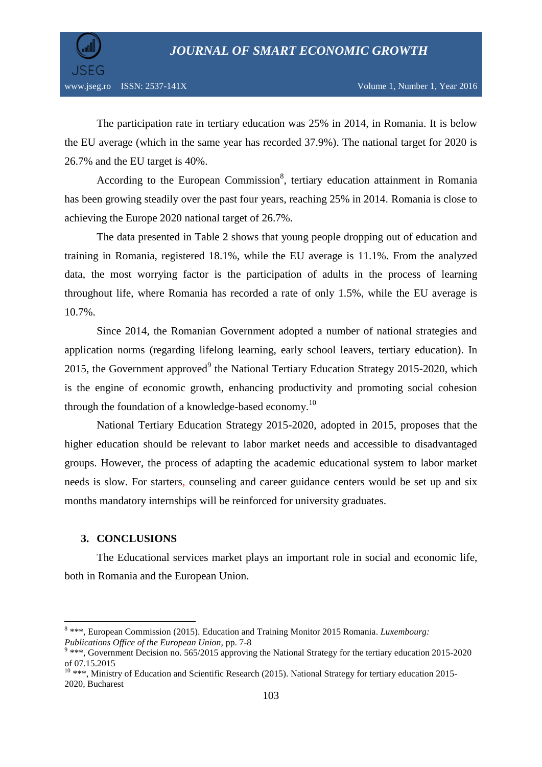

The participation rate in tertiary education was 25% in 2014, in Romania. It is below the EU average (which in the same year has recorded 37.9%). The national target for 2020 is 26.7% and the EU target is 40%.

According to the European Commission<sup>8</sup>, tertiary education attainment in Romania has been growing steadily over the past four years, reaching 25% in 2014. Romania is close to achieving the Europe 2020 national target of 26.7%.

The data presented in Table 2 shows that young people dropping out of education and training in Romania, registered 18.1%, while the EU average is 11.1%. From the analyzed data, the most worrying factor is the participation of adults in the process of learning throughout life, where Romania has recorded a rate of only 1.5%, while the EU average is 10.7%.

Since 2014, the Romanian Government adopted a number of national strategies and application norms (regarding lifelong learning, early school leavers, tertiary education). In 2015, the Government approved $9$  the National Tertiary Education Strategy 2015-2020, which is the engine of economic growth, enhancing productivity and promoting social cohesion through the foundation of a knowledge-based economy.<sup>10</sup>

National Tertiary Education Strategy 2015-2020, adopted in 2015, proposes that the higher education should be relevant to labor market needs and accessible to disadvantaged groups. However, the process of adapting the academic educational system to labor market needs is slow. For starters, counseling and career guidance centers would be set up and six months mandatory internships will be reinforced for university graduates.

## **3. CONCLUSIONS**

The Educational services market plays an important role in social and economic life, both in Romania and the European Union.

 8 \*\*\*, European Commission (2015). Education and Training Monitor 2015 Romania. *Luxembourg: Publications Office of the European Union,* pp. 7-8

<sup>&</sup>lt;sup>9</sup> \*\*\*, Government Decision no. 565/2015 approving the National Strategy for the tertiary education 2015-2020 of 07.15.2015

 $10$  \*\*\*, Ministry of Education and Scientific Research (2015). National Strategy for tertiary education 2015-2020*,* Bucharest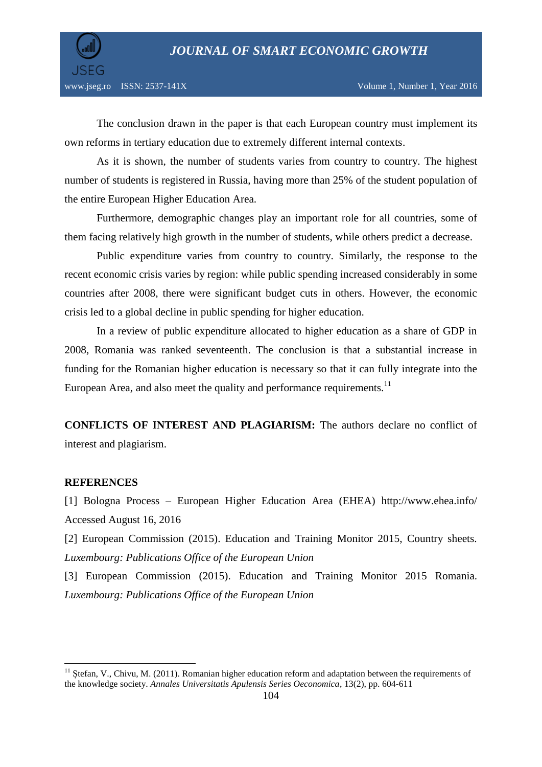

The conclusion drawn in the paper is that each European country must implement its own reforms in tertiary education due to extremely different internal contexts.

As it is shown, the number of students varies from country to country. The highest number of students is registered in Russia, having more than 25% of the student population of the entire European Higher Education Area.

Furthermore, demographic changes play an important role for all countries, some of them facing relatively high growth in the number of students, while others predict a decrease.

Public expenditure varies from country to country. Similarly, the response to the recent economic crisis varies by region: while public spending increased considerably in some countries after 2008, there were significant budget cuts in others. However, the economic crisis led to a global decline in public spending for higher education.

In a review of public expenditure allocated to higher education as a share of GDP in 2008, Romania was ranked seventeenth. The conclusion is that a substantial increase in funding for the Romanian higher education is necessary so that it can fully integrate into the European Area, and also meet the quality and performance requirements.<sup>11</sup>

**CONFLICTS OF INTEREST AND PLAGIARISM:** The authors declare no conflict of interest and plagiarism.

#### **REFERENCES**

 $\overline{\phantom{a}}$ 

[1] Bologna Process – European Higher Education Area (EHEA) http://www.ehea.info/ Accessed August 16, 2016

[2] European Commission (2015). Education and Training Monitor 2015, Country sheets. *Luxembourg: Publications Office of the European Union*

[3] European Commission (2015). Education and Training Monitor 2015 Romania. *Luxembourg: Publications Office of the European Union*

 $11$  Stefan, V., Chivu, M. (2011). Romanian higher education reform and adaptation between the requirements of the knowledge society. *Annales Universitatis Apulensis Series Oeconomica*, 13(2), pp. 604-611